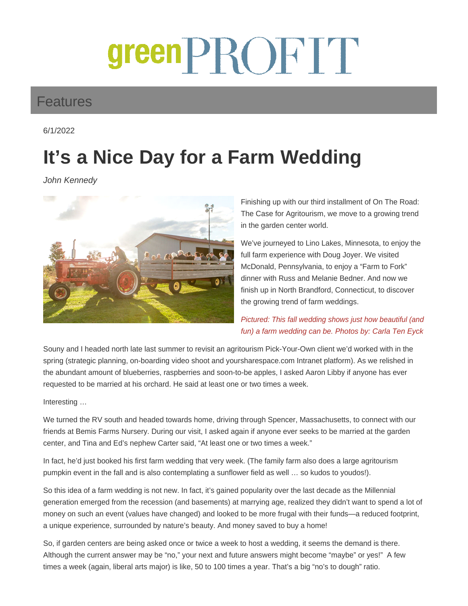# green PROFIT

### Features

6/1/2022

## **It's a Nice Day for a Farm Wedding**

John Kennedy



Finishing up with our third installment of On The Road: The Case for Agritourism, we move to a growing trend in the garden center world.

We've journeyed to Lino Lakes, Minnesota, to enjoy the full farm experience with Doug Joyer. We visited McDonald, Pennsylvania, to enjoy a "Farm to Fork" dinner with Russ and Melanie Bedner. And now we finish up in North Brandford, Connecticut, to discover the growing trend of farm weddings.

Pictured: This fall wedding shows just how beautiful (and fun) a farm wedding can be. Photos by: Carla Ten Eyck

Souny and I headed north late last summer to revisit an agritourism Pick-Your-Own client we'd worked with in the spring (strategic planning, on-boarding video shoot and yoursharespace.com Intranet platform). As we relished in the abundant amount of blueberries, raspberries and soon-to-be apples, I asked Aaron Libby if anyone has ever requested to be married at his orchard. He said at least one or two times a week.

Interesting …

We turned the RV south and headed towards home, driving through Spencer, Massachusetts, to connect with our friends at Bemis Farms Nursery. During our visit, I asked again if anyone ever seeks to be married at the garden center, and Tina and Ed's nephew Carter said, "At least one or two times a week."

In fact, he'd just booked his first farm wedding that very week. (The family farm also does a large agritourism pumpkin event in the fall and is also contemplating a sunflower field as well … so kudos to youdos!).

So this idea of a farm wedding is not new. In fact, it's gained popularity over the last decade as the Millennial generation emerged from the recession (and basements) at marrying age, realized they didn't want to spend a lot of money on such an event (values have changed) and looked to be more frugal with their funds—a reduced footprint, a unique experience, surrounded by nature's beauty. And money saved to buy a home!

So, if garden centers are being asked once or twice a week to host a wedding, it seems the demand is there. Although the current answer may be "no," your next and future answers might become "maybe" or yes!" A few times a week (again, liberal arts major) is like, 50 to 100 times a year. That's a big "no's to dough" ratio.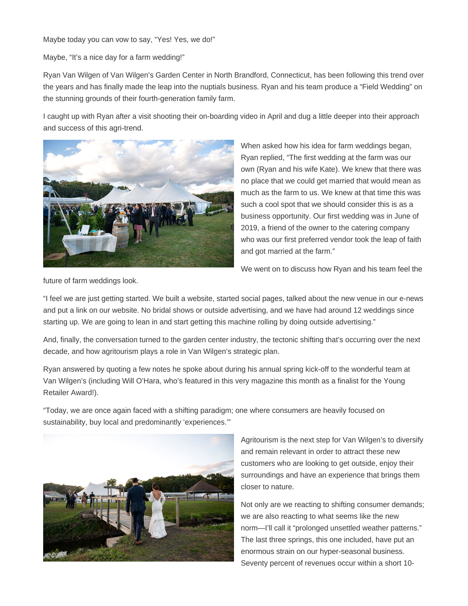Maybe today you can vow to say, "Yes! Yes, we do!"

Maybe, "It's a nice day for a farm wedding!"

Ryan Van Wilgen of Van Wilgen's Garden Center in North Brandford, Connecticut, has been following this trend over the years and has finally made the leap into the nuptials business. Ryan and his team produce a "Field Wedding" on the stunning grounds of their fourth-generation family farm.

I caught up with Ryan after a visit shooting their on-boarding video in April and dug a little deeper into their approach and success of this agri-trend.



When asked how his idea for farm weddings began, Ryan replied, "The first wedding at the farm was our own (Ryan and his wife Kate). We knew that there was no place that we could get married that would mean as much as the farm to us. We knew at that time this was such a cool spot that we should consider this is as a business opportunity. Our first wedding was in June of 2019, a friend of the owner to the catering company who was our first preferred vendor took the leap of faith and got married at the farm."

We went on to discuss how Ryan and his team feel the

future of farm weddings look.

"I feel we are just getting started. We built a website, started social pages, talked about the new venue in our e-news and put a link on our website. No bridal shows or outside advertising, and we have had around 12 weddings since starting up. We are going to lean in and start getting this machine rolling by doing outside advertising."

And, finally, the conversation turned to the garden center industry, the tectonic shifting that's occurring over the next decade, and how agritourism plays a role in Van Wilgen's strategic plan.

Ryan answered by quoting a few notes he spoke about during his annual spring kick-off to the wonderful team at Van Wilgen's (including Will O'Hara, who's featured in this very magazine this month as a finalist for the Young Retailer Award!).

"Today, we are once again faced with a shifting paradigm; one where consumers are heavily focused on sustainability, buy local and predominantly 'experiences.'"



Agritourism is the next step for Van Wilgen's to diversify and remain relevant in order to attract these new customers who are looking to get outside, enjoy their surroundings and have an experience that brings them closer to nature.

Not only are we reacting to shifting consumer demands; we are also reacting to what seems like the new norm—I'll call it "prolonged unsettled weather patterns." The last three springs, this one included, have put an enormous strain on our hyper-seasonal business. Seventy percent of revenues occur within a short 10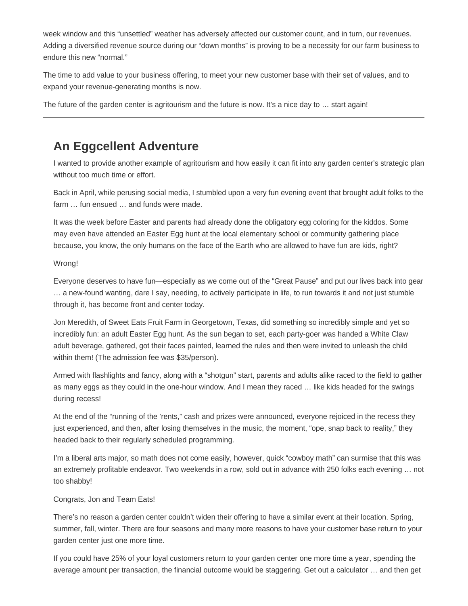week window and this "unsettled" weather has adversely affected our customer count, and in turn, our revenues. Adding a diversified revenue source during our "down months" is proving to be a necessity for our farm business to endure this new "normal."

The time to add value to your business offering, to meet your new customer base with their set of values, and to expand your revenue-generating months is now.

The future of the garden center is agritourism and the future is now. It's a nice day to ... start again!

## **An Eggcellent Adventure**

I wanted to provide another example of agritourism and how easily it can fit into any garden center's strategic plan without too much time or effort.

Back in April, while perusing social media, I stumbled upon a very fun evening event that brought adult folks to the farm … fun ensued … and funds were made.

It was the week before Easter and parents had already done the obligatory egg coloring for the kiddos. Some may even have attended an Easter Egg hunt at the local elementary school or community gathering place because, you know, the only humans on the face of the Earth who are allowed to have fun are kids, right?

Wrong!

Everyone deserves to have fun—especially as we come out of the "Great Pause" and put our lives back into gear … a new-found wanting, dare I say, needing, to actively participate in life, to run towards it and not just stumble through it, has become front and center today.

Jon Meredith, of Sweet Eats Fruit Farm in Georgetown, Texas, did something so incredibly simple and yet so incredibly fun: an adult Easter Egg hunt. As the sun began to set, each party-goer was handed a White Claw adult beverage, gathered, got their faces painted, learned the rules and then were invited to unleash the child within them! (The admission fee was \$35/person).

Armed with flashlights and fancy, along with a "shotgun" start, parents and adults alike raced to the field to gather as many eggs as they could in the one-hour window. And I mean they raced … like kids headed for the swings during recess!

At the end of the "running of the 'rents," cash and prizes were announced, everyone rejoiced in the recess they just experienced, and then, after losing themselves in the music, the moment, "ope, snap back to reality," they headed back to their regularly scheduled programming.

I'm a liberal arts major, so math does not come easily, however, quick "cowboy math" can surmise that this was an extremely profitable endeavor. Two weekends in a row, sold out in advance with 250 folks each evening … not too shabby!

#### Congrats, Jon and Team Eats!

There's no reason a garden center couldn't widen their offering to have a similar event at their location. Spring, summer, fall, winter. There are four seasons and many more reasons to have your customer base return to your garden center just one more time.

If you could have 25% of your loyal customers return to your garden center one more time a year, spending the average amount per transaction, the financial outcome would be staggering. Get out a calculator … and then get